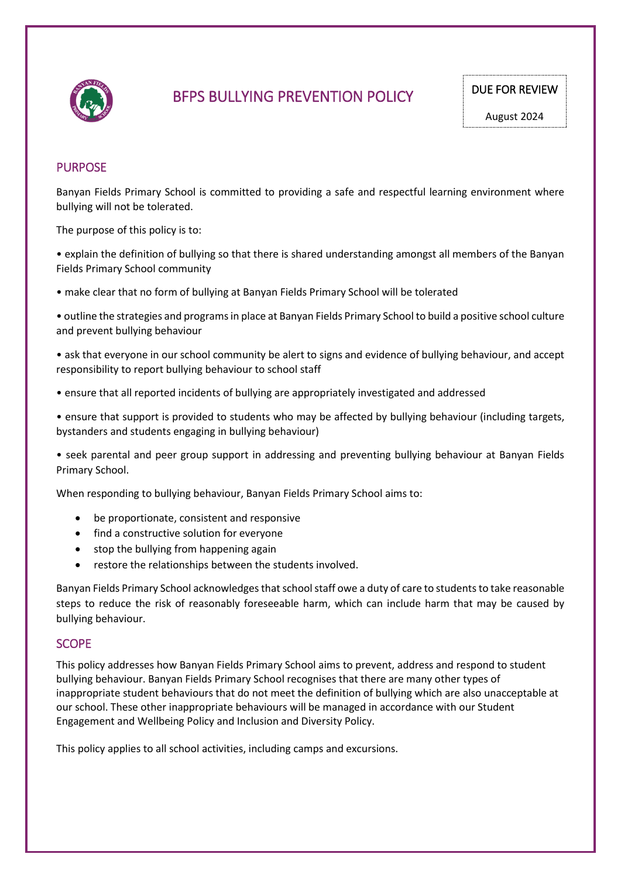

# BFPS BULLYING PREVENTION POLICY

# PURPOSE

Banyan Fields Primary School is committed to providing a safe and respectful learning environment where bullying will not be tolerated.

The purpose of this policy is to:

• explain the definition of bullying so that there is shared understanding amongst all members of the Banyan Fields Primary School community

- make clear that no form of bullying at Banyan Fields Primary School will be tolerated
- outline the strategies and programs in place at Banyan Fields Primary School to build a positive school culture and prevent bullying behaviour
- ask that everyone in our school community be alert to signs and evidence of bullying behaviour, and accept responsibility to report bullying behaviour to school staff
- ensure that all reported incidents of bullying are appropriately investigated and addressed
- ensure that support is provided to students who may be affected by bullying behaviour (including targets, bystanders and students engaging in bullying behaviour)

• seek parental and peer group support in addressing and preventing bullying behaviour at Banyan Fields Primary School.

When responding to bullying behaviour, Banyan Fields Primary School aims to:

- be proportionate, consistent and responsive
- find a constructive solution for everyone
- stop the bullying from happening again
- restore the relationships between the students involved.

Banyan Fields Primary School acknowledges that school staff owe a duty of care to students to take reasonable steps to reduce the risk of reasonably foreseeable harm, which can include harm that may be caused by bullying behaviour.

### **SCOPE**

This policy addresses how Banyan Fields Primary School aims to prevent, address and respond to student bullying behaviour. Banyan Fields Primary School recognises that there are many other types of inappropriate student behaviours that do not meet the definition of bullying which are also unacceptable at our school. These other inappropriate behaviours will be managed in accordance with our Student Engagement and Wellbeing Policy and Inclusion and Diversity Policy.

This policy applies to all school activities, including camps and excursions.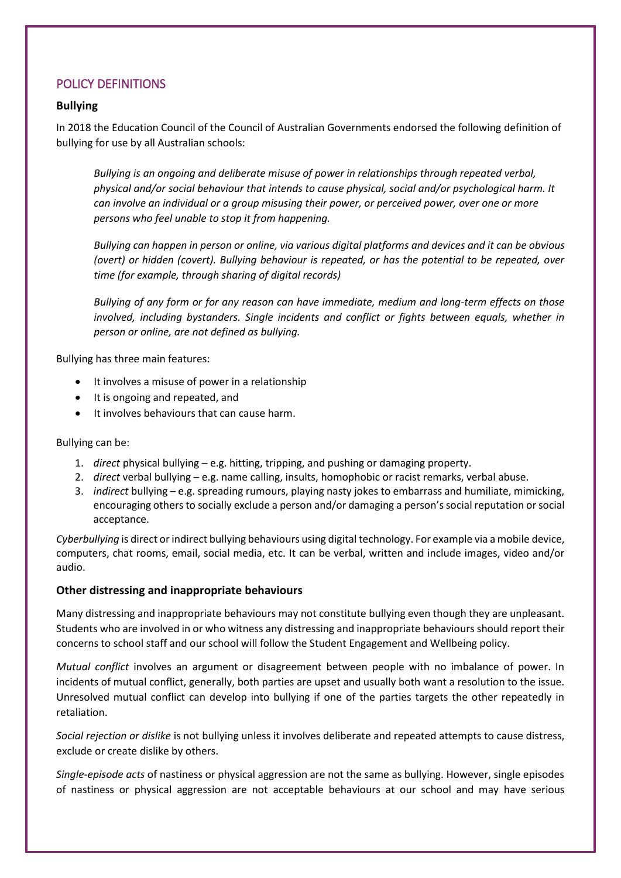# POLICY DEFINITIONS

# **Bullying**

In 2018 the Education Council of the Council of Australian Governments endorsed the following definition of bullying for use by all Australian schools:

*Bullying is an ongoing and deliberate misuse of power in relationships through repeated verbal, physical and/or social behaviour that intends to cause physical, social and/or psychological harm. It can involve an individual or a group misusing their power, or perceived power, over one or more persons who feel unable to stop it from happening.*

*Bullying can happen in person or online, via various digital platforms and devices and it can be obvious (overt) or hidden (covert). Bullying behaviour is repeated, or has the potential to be repeated, over time (for example, through sharing of digital records)*

*Bullying of any form or for any reason can have immediate, medium and long-term effects on those involved, including bystanders. Single incidents and conflict or fights between equals, whether in person or online, are not defined as bullying.*

Bullying has three main features:

- It involves a misuse of power in a relationship
- It is ongoing and repeated, and
- It involves behaviours that can cause harm.

### Bullying can be:

- 1. *direct* physical bullying e.g. hitting, tripping, and pushing or damaging property.
- 2. *direct* verbal bullying e.g. name calling, insults, homophobic or racist remarks, verbal abuse.
- 3. *indirect* bullying e.g. spreading rumours, playing nasty jokes to embarrass and humiliate, mimicking, encouraging others to socially exclude a person and/or damaging a person's social reputation or social acceptance.

*Cyberbullying* is direct or indirect bullying behaviours using digital technology. For example via a mobile device, computers, chat rooms, email, social media, etc. It can be verbal, written and include images, video and/or audio.

# **Other distressing and inappropriate behaviours**

Many distressing and inappropriate behaviours may not constitute bullying even though they are unpleasant. Students who are involved in or who witness any distressing and inappropriate behaviours should report their concerns to school staff and our school will follow the Student Engagement and Wellbeing policy.

*Mutual conflict* involves an argument or disagreement between people with no imbalance of power. In incidents of mutual conflict, generally, both parties are upset and usually both want a resolution to the issue. Unresolved mutual conflict can develop into bullying if one of the parties targets the other repeatedly in retaliation.

*Social rejection or dislike* is not bullying unless it involves deliberate and repeated attempts to cause distress, exclude or create dislike by others.

*Single-episode acts* of nastiness or physical aggression are not the same as bullying. However, single episodes of nastiness or physical aggression are not acceptable behaviours at our school and may have serious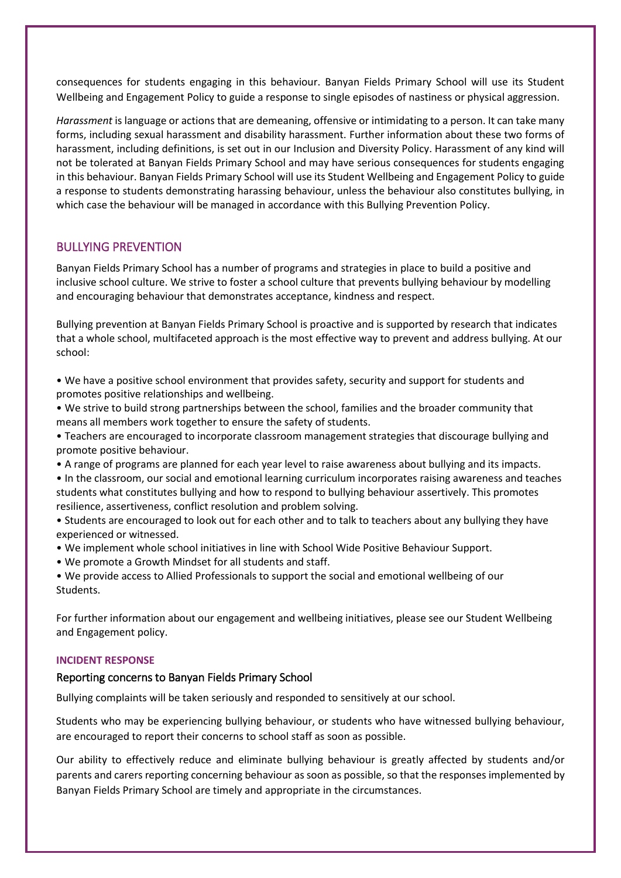consequences for students engaging in this behaviour. Banyan Fields Primary School will use its Student Wellbeing and Engagement Policy to guide a response to single episodes of nastiness or physical aggression.

*Harassment* is language or actions that are demeaning, offensive or intimidating to a person. It can take many forms, including sexual harassment and disability harassment. Further information about these two forms of harassment, including definitions, is set out in our Inclusion and Diversity Policy. Harassment of any kind will not be tolerated at Banyan Fields Primary School and may have serious consequences for students engaging in this behaviour. Banyan Fields Primary School will use its Student Wellbeing and Engagement Policy to guide a response to students demonstrating harassing behaviour, unless the behaviour also constitutes bullying, in which case the behaviour will be managed in accordance with this Bullying Prevention Policy.

# BULLYING PREVENTION

Banyan Fields Primary School has a number of programs and strategies in place to build a positive and inclusive school culture. We strive to foster a school culture that prevents bullying behaviour by modelling and encouraging behaviour that demonstrates acceptance, kindness and respect.

Bullying prevention at Banyan Fields Primary School is proactive and is supported by research that indicates that a whole school, multifaceted approach is the most effective way to prevent and address bullying. At our school:

- We have a positive school environment that provides safety, security and support for students and promotes positive relationships and wellbeing.
- We strive to build strong partnerships between the school, families and the broader community that means all members work together to ensure the safety of students.
- Teachers are encouraged to incorporate classroom management strategies that discourage bullying and promote positive behaviour.
- A range of programs are planned for each year level to raise awareness about bullying and its impacts.
- In the classroom, our social and emotional learning curriculum incorporates raising awareness and teaches students what constitutes bullying and how to respond to bullying behaviour assertively. This promotes resilience, assertiveness, conflict resolution and problem solving.
- Students are encouraged to look out for each other and to talk to teachers about any bullying they have experienced or witnessed.
- We implement whole school initiatives in line with School Wide Positive Behaviour Support.
- We promote a Growth Mindset for all students and staff.
- We provide access to Allied Professionals to support the social and emotional wellbeing of our Students.

For further information about our engagement and wellbeing initiatives, please see our Student Wellbeing and Engagement policy.

#### **INCIDENT RESPONSE**

#### Reporting concerns to Banyan Fields Primary School

Bullying complaints will be taken seriously and responded to sensitively at our school.

Students who may be experiencing bullying behaviour, or students who have witnessed bullying behaviour, are encouraged to report their concerns to school staff as soon as possible.

Our ability to effectively reduce and eliminate bullying behaviour is greatly affected by students and/or parents and carers reporting concerning behaviour as soon as possible, so that the responses implemented by Banyan Fields Primary School are timely and appropriate in the circumstances.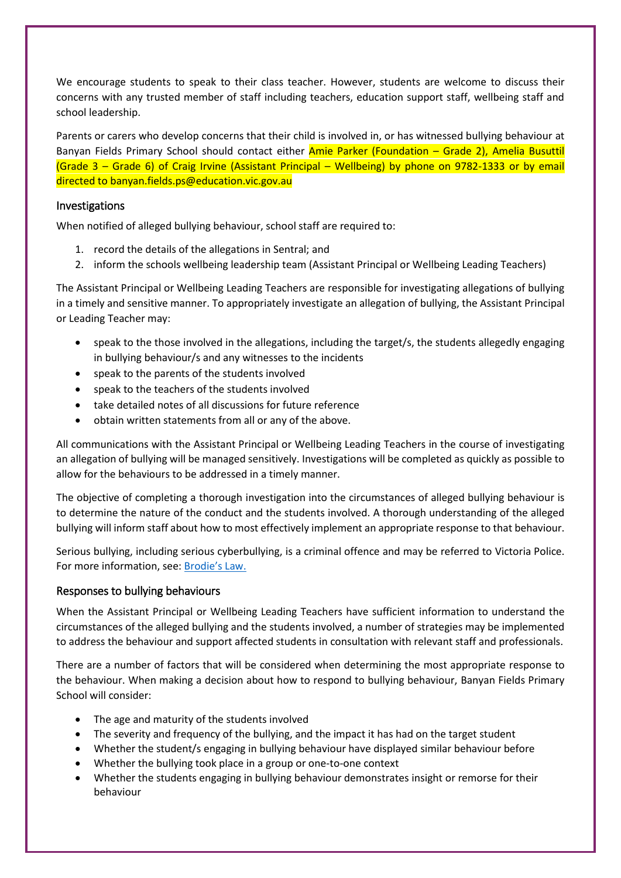We encourage students to speak to their class teacher. However, students are welcome to discuss their concerns with any trusted member of staff including teachers, education support staff, wellbeing staff and school leadership.

Parents or carers who develop concerns that their child is involved in, or has witnessed bullying behaviour at Banyan Fields Primary School should contact either Amie Parker (Foundation – Grade 2), Amelia Busuttil (Grade 3 – Grade 6) of Craig Irvine (Assistant Principal – Wellbeing) by phone on 9782-1333 or by email directed to banyan.fields.ps@education.vic.gov.au

### Investigations

When notified of alleged bullying behaviour, school staff are required to:

- 1. record the details of the allegations in Sentral; and
- 2. inform the schools wellbeing leadership team (Assistant Principal or Wellbeing Leading Teachers)

The Assistant Principal or Wellbeing Leading Teachers are responsible for investigating allegations of bullying in a timely and sensitive manner. To appropriately investigate an allegation of bullying, the Assistant Principal or Leading Teacher may:

- speak to the those involved in the allegations, including the target/s, the students allegedly engaging in bullying behaviour/s and any witnesses to the incidents
- speak to the parents of the students involved
- speak to the teachers of the students involved
- take detailed notes of all discussions for future reference
- obtain written statements from all or any of the above.

All communications with the Assistant Principal or Wellbeing Leading Teachers in the course of investigating an allegation of bullying will be managed sensitively. Investigations will be completed as quickly as possible to allow for the behaviours to be addressed in a timely manner.

The objective of completing a thorough investigation into the circumstances of alleged bullying behaviour is to determine the nature of the conduct and the students involved. A thorough understanding of the alleged bullying will inform staff about how to most effectively implement an appropriate response to that behaviour.

Serious bullying, including serious cyberbullying, is a criminal offence and may be referred to Victoria Police. For more information, see: [Brodie's Law.](http://www.education.vic.gov.au/about/programs/bullystoppers/Pages/advicesheetbrodieslaw.aspx)

# Responses to bullying behaviours

When the Assistant Principal or Wellbeing Leading Teachers have sufficient information to understand the circumstances of the alleged bullying and the students involved, a number of strategies may be implemented to address the behaviour and support affected students in consultation with relevant staff and professionals.

There are a number of factors that will be considered when determining the most appropriate response to the behaviour. When making a decision about how to respond to bullying behaviour, Banyan Fields Primary School will consider:

- The age and maturity of the students involved
- The severity and frequency of the bullying, and the impact it has had on the target student
- Whether the student/s engaging in bullying behaviour have displayed similar behaviour before
- Whether the bullying took place in a group or one-to-one context
- Whether the students engaging in bullying behaviour demonstrates insight or remorse for their behaviour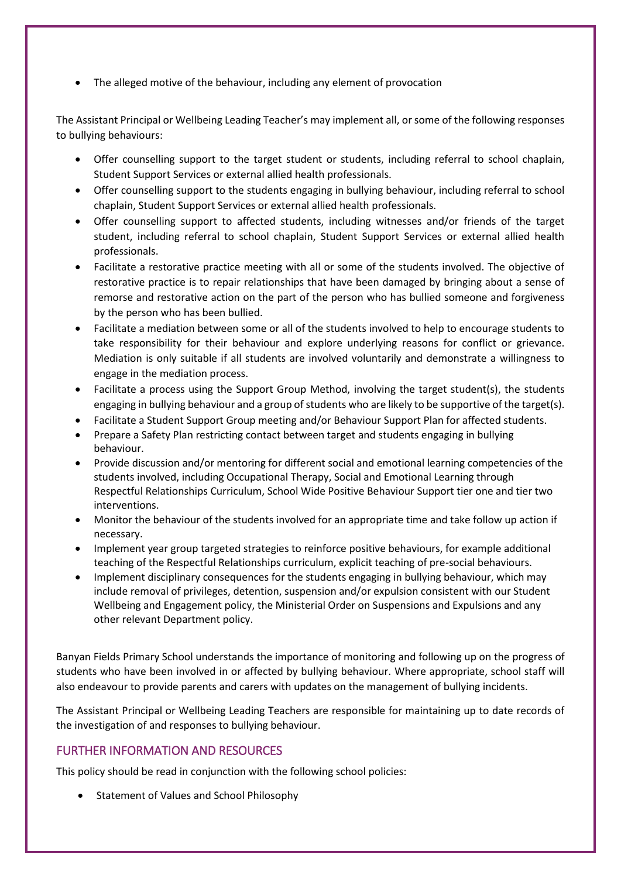The alleged motive of the behaviour, including any element of provocation

The Assistant Principal or Wellbeing Leading Teacher's may implement all, or some of the following responses to bullying behaviours:

- Offer counselling support to the target student or students, including referral to school chaplain, Student Support Services or external allied health professionals.
- Offer counselling support to the students engaging in bullying behaviour, including referral to school chaplain, Student Support Services or external allied health professionals.
- Offer counselling support to affected students, including witnesses and/or friends of the target student, including referral to school chaplain, Student Support Services or external allied health professionals.
- Facilitate a restorative practice meeting with all or some of the students involved. The objective of restorative practice is to repair relationships that have been damaged by bringing about a sense of remorse and restorative action on the part of the person who has bullied someone and forgiveness by the person who has been bullied.
- Facilitate a mediation between some or all of the students involved to help to encourage students to take responsibility for their behaviour and explore underlying reasons for conflict or grievance. Mediation is only suitable if all students are involved voluntarily and demonstrate a willingness to engage in the mediation process.
- Facilitate a process using the Support Group Method, involving the target student(s), the students engaging in bullying behaviour and a group of students who are likely to be supportive of the target(s).
- Facilitate a Student Support Group meeting and/or Behaviour Support Plan for affected students.
- Prepare a Safety Plan restricting contact between target and students engaging in bullying behaviour.
- Provide discussion and/or mentoring for different social and emotional learning competencies of the students involved, including Occupational Therapy, Social and Emotional Learning through Respectful Relationships Curriculum, School Wide Positive Behaviour Support tier one and tier two interventions.
- Monitor the behaviour of the students involved for an appropriate time and take follow up action if necessary.
- Implement year group targeted strategies to reinforce positive behaviours, for example additional teaching of the Respectful Relationships curriculum, explicit teaching of pre-social behaviours.
- Implement disciplinary consequences for the students engaging in bullying behaviour, which may include removal of privileges, detention, suspension and/or expulsion consistent with our Student Wellbeing and Engagement policy, the Ministerial Order on Suspensions and Expulsions and any other relevant Department policy.

Banyan Fields Primary School understands the importance of monitoring and following up on the progress of students who have been involved in or affected by bullying behaviour. Where appropriate, school staff will also endeavour to provide parents and carers with updates on the management of bullying incidents.

The Assistant Principal or Wellbeing Leading Teachers are responsible for maintaining up to date records of the investigation of and responses to bullying behaviour.

# FURTHER INFORMATION AND RESOURCES

This policy should be read in conjunction with the following school policies:

• Statement of Values and School Philosophy